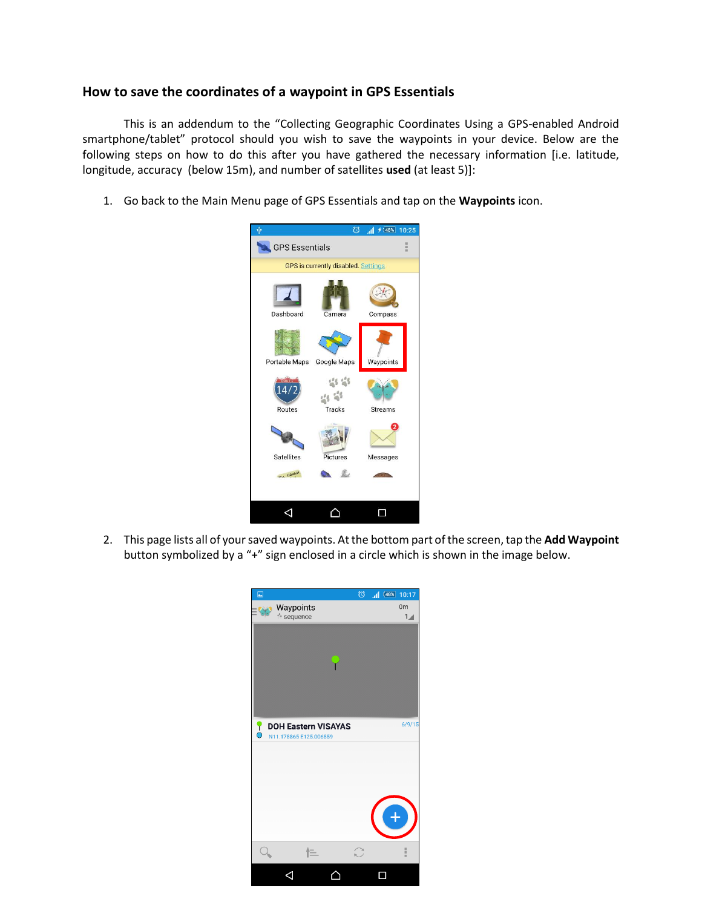## **How to save the coordinates of a waypoint in GPS Essentials**

This is an addendum to the "Collecting Geographic Coordinates Using a GPS-enabled Android smartphone/tablet" protocol should you wish to save the waypoints in your device. Below are the following steps on how to do this after you have gathered the necessary information [i.e. latitude, longitude, accuracy (below 15m), and number of satellites **used** (at least 5)]:

1. Go back to the Main Menu page of GPS Essentials and tap on the **Waypoints** icon.



2. This page lists all of your saved waypoints. At the bottom part of the screen, tap the **Add Waypoint** button symbolized by a "+" sign enclosed in a circle which is shown in the image below.

| $\Box$    |                                                      | $\circledcirc$ | $1$ $(48\%)$ | 10:17                            |
|-----------|------------------------------------------------------|----------------|--------------|----------------------------------|
|           | Waypoints<br>the sequence                            |                |              | 0 <sub>m</sub><br>$\overline{1}$ |
|           |                                                      |                |              |                                  |
|           |                                                      |                |              |                                  |
|           |                                                      |                |              |                                  |
| $\bullet$ | <b>DOH Eastern VISAYAS</b><br>N11.178865 E125.006859 |                |              | 6/9/15                           |
|           |                                                      |                |              |                                  |
|           |                                                      |                |              |                                  |
|           |                                                      |                |              |                                  |
|           |                                                      |                |              |                                  |
|           | 仨                                                    |                |              | ii ii ii                         |
|           |                                                      |                |              |                                  |